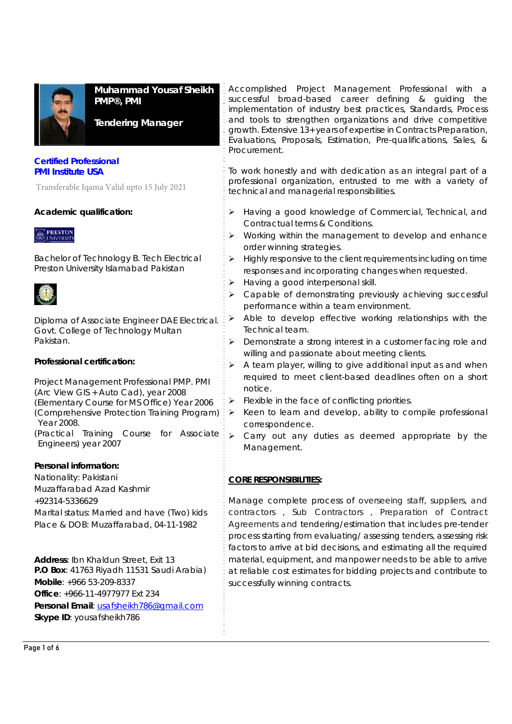

**Muhammad Yousaf Sheikh PMP®, PMI** 

**Tendering Manager** 

### **Certified Professional PMI Institute USA**

Transferable Iqama Valid upto 15 July 2021

## **Academic qualification:**



Bachelor of Technology B. Tech Electrical Preston University Islamabad Pakistan



Diploma of Associate Engineer DAE Electrical. Govt. College of Technology Multan Pakistan.

## **Professional certification:**

Project Management Professional PMP. PMI (Arc View GIS + Auto Cad), year 2008 (Elementary Course for MS Office) Year 2006 (Comprehensive Protection Training Program) Year 2008. (Practical Training Course for Associate Engineers) year 2007

## **Personal information:**

Nationality: Pakistani

Muzaffarabad Azad Kashmir +92314-5336629

Marital status: Married and have (Two) kids Place & DOB: Muzaffarabad, 04-11-1982

**Address**: Ibn Khaldun Street, Exit 13 **P.O Box**: 41763 Riyadh 11531 Saudi Arabia) **Mobile**: +966 53-209-8337 **Office**: +966-11-4977977 Ext 234 **Personal Email**: usafsheikh786@gmail.com **Skype ID**: yousafsheikh786

Accomplished Project Management Professional with a successful broad-based career defining & guiding the implementation of industry best practices, Standards, Process and tools to strengthen organizations and drive competitive growth. Extensive 13+ years of expertise in Contracts Preparation, Evaluations, Proposals, Estimation, Pre-qualifications, Sales, & Procurement.

To work honestly and with dedication as an integral part of a professional organization, entrusted to me with a variety of technical and managerial responsibilities.

- > Having a good knowledge of Commercial, Technical, and Contractual terms & Conditions.
- $\triangleright$  Working within the management to develop and enhance order winning strategies.
- $\triangleright$  Highly responsive to the client requirements including on time responses and incorporating changes when requested.
- > Having a good interpersonal skill.
- > Capable of demonstrating previously achieving successful performance within a team environment.
- $\triangleright$  Able to develop effective working relationships with the Technical team.
- > Demonstrate a strong interest in a customer facing role and willing and passionate about meeting clients.
- A team player, willing to give additional input as and when required to meet client-based deadlines often on a short notice.
- $\triangleright$  Flexible in the face of conflicting priorities.
- Keen to learn and develop, ability to compile professional correspondence.
- $\triangleright$  Carry out any duties as deemed appropriate by the Management.

# **CORE RESPONSIBILITIES:**

Manage complete process of overseeing staff, suppliers, and contractors , Sub Contractors , Preparation of Contract Agreements and tendering/estimation that includes pre-tender process starting from evaluating/ assessing tenders, assessing risk factors to arrive at bid decisions, and estimating all the required material, equipment, and manpower needs to be able to arrive at reliable cost estimates for bidding projects and contribute to successfully winning contracts.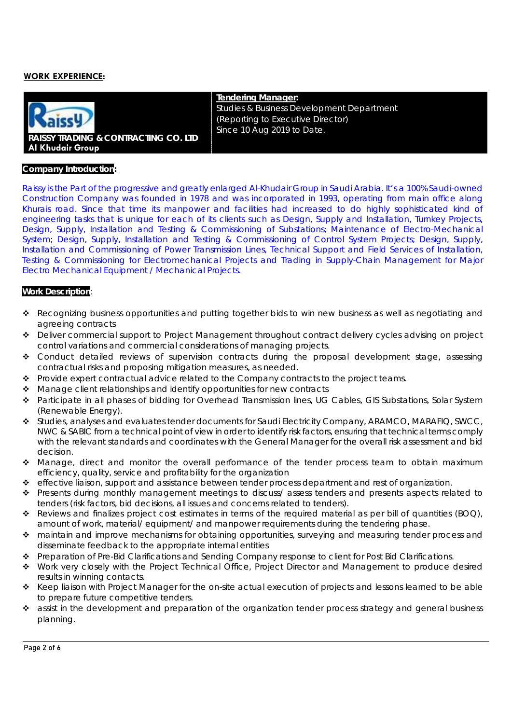### **WORK EXPERIENCE:**



**Tendering Manager:**  Studies & Business Development Department (Reporting to Executive Director) Since 10 Aug 2019 to Date.

#### **Company Introduction:**

Raissy is the Part of the progressive and greatly enlarged Al-Khudair Group in Saudi Arabia. It's a 100% Saudi-owned Construction Company was founded in 1978 and was incorporated in 1993, operating from main office along Khurais road. Since that time its manpower and facilities had increased to do highly sophisticated kind of engineering tasks that is unique for each of its clients such as Design, Supply and Installation, Turnkey Projects, Design, Supply, Installation and Testing & Commissioning of Substations; Maintenance of Electro-Mechanical System; Design, Supply, Installation and Testing & Commissioning of Control System Projects; Design, Supply, Installation and Commissioning of Power Transmission Lines, Technical Support and Field Services of Installation, Testing & Commissioning for Electromechanical Projects and Trading in Supply-Chain Management for Major Electro Mechanical Equipment / Mechanical Projects.

#### **Work Description**:

- Recognizing business opportunities and putting together bids to win new business as well as negotiating and agreeing contracts
- Deliver commercial support to Project Management throughout contract delivery cycles advising on project control variations and commercial considerations of managing projects.
- Conduct detailed reviews of supervision contracts during the proposal development stage, assessing contractual risks and proposing mitigation measures, as needed.
- $\bullet$  Provide expert contractual advice related to the Company contracts to the project teams.
- \* Manage client relationships and identify opportunities for new contracts
- Participate in all phases of bidding for Overhead Transmission lines, UG Cables, GIS Substations, Solar System (Renewable Energy).
- Studies, analyses and evaluates tender documents for Saudi Electricity Company, ARAMCO, MARAFIQ, SWCC, NWC & SABIC from a technical point of view in order to identify risk factors, ensuring that technical terms comply with the relevant standards and coordinates with the General Manager for the overall risk assessment and bid decision.
- Manage, direct and monitor the overall performance of the tender process team to obtain maximum efficiency, quality, service and profitability for the organization
- effective liaison, support and assistance between tender process department and rest of organization.
- \* Presents during monthly management meetings to discuss/ assess tenders and presents aspects related to tenders (risk factors, bid decisions, all issues and concerns related to tenders).
- Reviews and finalizes project cost estimates in terms of the required material as per bill of quantities (BOQ), amount of work, material/ equipment/ and manpower requirements during the tendering phase.
- maintain and improve mechanisms for obtaining opportunities, surveying and measuring tender process and disseminate feedback to the appropriate internal entities
- Preparation of Pre-Bid Clarifications and Sending Company response to client for Post Bid Clarifications.
- Work very closely with the Project Technical Office, Project Director and Management to produce desired results in winning contacts.
- \* Keep liaison with Project Manager for the on-site actual execution of projects and lessons learned to be able to prepare future competitive tenders.
- \* assist in the development and preparation of the organization tender process strategy and general business planning.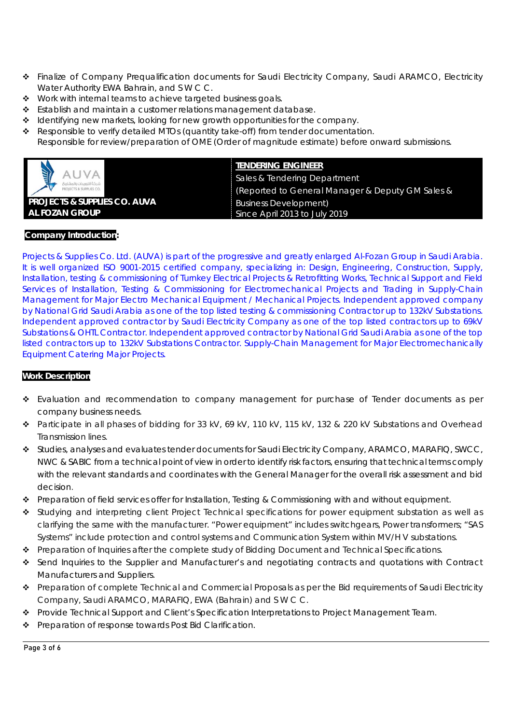- Finalize of Company Prequalification documents for Saudi Electricity Company, Saudi ARAMCO, Electricity Water Authority EWA Bahrain, and S W C C.
- Work with internal teams to achieve targeted business goals.
- $\div$  Establish and maintain a customer relations management database.
- \* Identifying new markets, looking for new growth opportunities for the company.
- \* Responsible to verify detailed MTOs (quantity take-off) from tender documentation. Responsible for review/preparation of OME (Order of magnitude estimate) before onward submissions.



### **TENDERING ENGINEER**

Sales & Tendering Department (Reported to General Manager & Deputy GM Sales & Business Development) *Since April 2013 to July 2019*

### **Company Introduction:**

Projects & Supplies Co. Ltd. (AUVA) is part of the progressive and greatly enlarged Al-Fozan Group in Saudi Arabia. It is well organized ISO 9001-2015 certified company, specializing in: Design, Engineering, Construction, Supply, Installation, testing & commissioning of Turnkey Electrical Projects & Retrofitting Works, Technical Support and Field Services of Installation, Testing & Commissioning for Electromechanical Projects and Trading in Supply-Chain Management for Major Electro Mechanical Equipment / Mechanical Projects. Independent approved company by National Grid Saudi Arabia as one of the top listed testing & commissioning Contractor up to 132kV Substations. Independent approved contractor by Saudi Electricity Company as one of the top listed contractors up to 69kV Substations & OHTL Contractor. Independent approved contractor by National Grid Saudi Arabia as one of the top listed contractors up to 132kV Substations Contractor. Supply-Chain Management for Major Electromechanically Equipment Catering Major Projects.

### **Work Description**

- \* Evaluation and recommendation to company management for purchase of Tender documents as per company business needs.
- Participate in all phases of bidding for 33 kV, 69 kV, 110 kV, 115 kV, 132 & 220 kV Substations and Overhead Transmission lines.
- Studies, analyses and evaluates tender documents for Saudi Electricity Company, ARAMCO, MARAFIQ, SWCC, NWC & SABIC from a technical point of view in order to identify risk factors, ensuring that technical terms comply with the relevant standards and coordinates with the General Manager for the overall risk assessment and bid decision.
- Preparation of field services offer for Installation, Testing & Commissioning with and without equipment.
- \* Studying and interpreting client Project Technical specifications for power equipment substation as well as clarifying the same with the manufacturer. "Power equipment" includes switchgears, Power transformers; "SAS Systems" include protection and control systems and Communication System within MV/H V substations.
- \* Preparation of Inquiries after the complete study of Bidding Document and Technical Specifications.
- Send Inquiries to the Supplier and Manufacturer's and negotiating contracts and quotations with Contract Manufacturers and Suppliers.
- \* Preparation of complete Technical and Commercial Proposals as per the Bid requirements of Saudi Electricity Company, Saudi ARAMCO, MARAFIQ, EWA (Bahrain) and S W C C.
- Provide Technical Support and Client's Specification Interpretations to Project Management Team.
- ◆ Preparation of response towards Post Bid Clarification.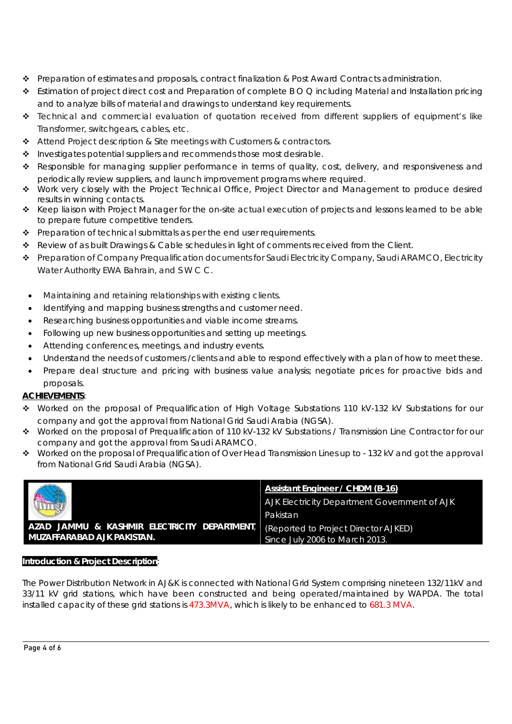- Preparation of estimates and proposals, contract finalization & Post Award Contracts administration.
- Estimation of project direct cost and Preparation of complete B O Q including Material and Installation pricing and to analyze bills of material and drawings to understand key requirements.
- Technical and commercial evaluation of quotation received from different suppliers of equipment's like Transformer, switchgears, cables, etc.
- Attend Project description & Site meetings with Customers & contractors.
- $\cdot \cdot$  Investigates potential suppliers and recommends those most desirable.
- \* Responsible for managing supplier performance in terms of quality, cost, delivery, and responsiveness and periodically review suppliers, and launch improvement programs where required.
- \* Work very closely with the Project Technical Office, Project Director and Management to produce desired results in winning contacts.
- Keep liaison with Project Manager for the on-site actual execution of projects and lessons learned to be able to prepare future competitive tenders.
- $\triangle$  Preparation of technical submittals as per the end user requirements.
- \* Review of as built Drawings & Cable schedules in light of comments received from the Client.
- Preparation of Company Prequalification documents for Saudi Electricity Company, Saudi ARAMCO, Electricity Water Authority EWA Bahrain, and S W C C.
- Maintaining and retaining relationships with existing clients.
- Identifying and mapping business strengths and customer need.
- Researching business opportunities and viable income streams.
- Following up new business opportunities and setting up meetings.
- Attending conferences, meetings, and industry events.
- Understand the needs of customers /clients and able to respond effectively with a plan of how to meet these.
- Prepare deal structure and pricing with business value analysis; negotiate prices for proactive bids and proposals.

# **ACHIEVEMENTS***:*

- *Worked on the proposal of Prequalification of High Voltage Substations 110 kV-132 kV Substations for our company and got the approval from National Grid Saudi Arabia (NGSA).*
- *Worked on the proposal of Prequalification of 110 kV-132 kV Substations / Transmission Line Contractor for our company and got the approval from Saudi ARAMCO.*
- *Worked on the proposal of Prequalification of Over Head Transmission Lines up to 132 kV and got the approval from National Grid Saudi Arabia (NGSA).*

|                                                                                                                 | <b>Assistant Engineer / CHDM (B-16)</b>      |
|-----------------------------------------------------------------------------------------------------------------|----------------------------------------------|
| <b>Change</b>                                                                                                   | AJK Electricity Department Government of AJK |
|                                                                                                                 | Pakistan                                     |
| AZAD JAMMU & KASHMIR ELECTRICITY DEPARTMENT, (Reported to Project Director AJKED)<br>MUZAFFARABAD AJK PAKISTAN. | Since July 2006 to March 2013.               |

### **Introduction & Project Description**:

The Power Distribution Network in AJ&K is connected with National Grid System comprising nineteen 132/11kV and 33/11 kV grid stations, which have been constructed and being operated/maintained by WAPDA. The total installed capacity of these grid stations is 473.3MVA, which is likely to be enhanced to 681.3 MVA.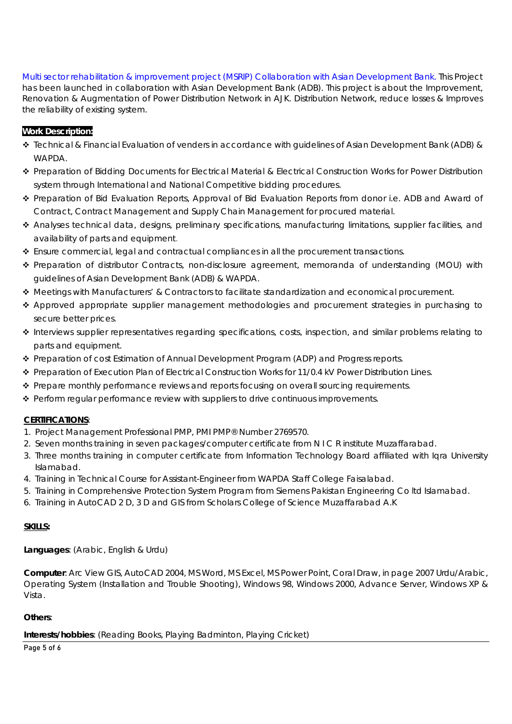Multi sector rehabilitation & improvement project (MSRIP) Collaboration with Asian Development Bank. This Project has been launched in collaboration with Asian Development Bank (ADB). This project is about the Improvement, Renovation & Augmentation of Power Distribution Network in AJK. Distribution Network, reduce losses & Improves the reliability of existing system.

# **Work Description:**

- Technical & Financial Evaluation of venders in accordance with guidelines of Asian Development Bank (ADB) & **WAPDA**
- ◆ Preparation of Bidding Documents for Electrical Material & Electrical Construction Works for Power Distribution system through International and National Competitive bidding procedures.
- Preparation of Bid Evaluation Reports, Approval of Bid Evaluation Reports from donor i.e. ADB and Award of Contract, Contract Management and Supply Chain Management for procured material.
- Analyses technical data, designs, preliminary specifications, manufacturing limitations, supplier facilities, and availability of parts and equipment.
- Ensure commercial, legal and contractual compliances in all the procurement transactions.
- Preparation of distributor Contracts, non-disclosure agreement, memoranda of understanding (MOU) with guidelines of Asian Development Bank (ADB) & WAPDA.
- Meetings with Manufacturers' & Contractors to facilitate standardization and economical procurement.
- \* Approved appropriate supplier management methodologies and procurement strategies in purchasing to secure better prices.
- Interviews supplier representatives regarding specifications, costs, inspection, and similar problems relating to parts and equipment.
- Preparation of cost Estimation of Annual Development Program (ADP) and Progress reports.
- ◆ Preparation of Execution Plan of Electrical Construction Works for 11/0.4 kV Power Distribution Lines.
- $\cdot \cdot$  Prepare monthly performance reviews and reports focusing on overall sourcing requirements.
- \* Perform regular performance review with suppliers to drive continuous improvements.

## **CERTIFICATIONS**:

- 1. Project Management Professional PMP, PMI PMP® Number 2769570.
- 2. Seven months training in seven packages/computer certificate from N I C R institute Muzaffarabad.
- 3. Three months training in computer certificate from Information Technology Board affiliated with Iqra University Islamabad.
- 4. Training in Technical Course for Assistant-Engineer from WAPDA Staff College Faisalabad.
- 5. Training in Comprehensive Protection System Program from Siemens Pakistan Engineering Co ltd Islamabad.
- 6. Training in AutoCAD 2 D, 3 D and GIS from Scholars College of Science Muzaffarabad A.K

## **SKILLS:**

**Languages**: (Arabic, English & Urdu)

**Computer**: Arc View GIS, AutoCAD 2004, MS Word, MS Excel, MS Power Point, Coral Draw, in page 2007 Urdu/Arabic, Operating System (Installation and Trouble Shooting), Windows 98, Windows 2000, Advance Server, Windows XP & Vista.

## **Others**:

Page 5 of 6 **Interests/hobbies**: (Reading Books, Playing Badminton, Playing Cricket)